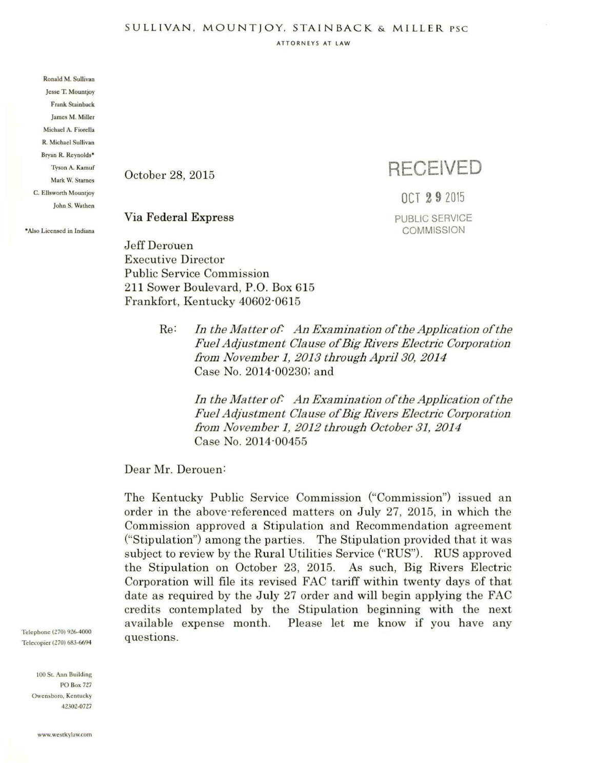ATTORNEYS AT LAW

Ronald M. Sullivan Jesse T. Mountjoy Frank Stainback James M. Miller Michael A. Fiorella R. Michael Sullivan Bryan R. Reynolds• Tyson A. Kamuf Mark W. Starnes C. Ellsworth Mountjoy John S. Wathen

•AJso Licen•ed in Indiana

October 28, 2015

## **RECEIVED**

OCT **2 9** <sup>2015</sup> PUBLIC SERVICE **COMMISSION** 

## Via Federal Express

Jeff Derouen Executive Director Public Service Commission 211 Sower Boulevard, P.O. Box 615 Frankfort, Kentucky 40602-0615

> Re: *In the Matter of:* An *Examination of the Application of the Fuel Adjustment Clause of Big Rivers Electric Corporation /I·om Novembe1· 1, 2 013 through Apnl 30, 2 014*  Case No. 2014-00230; and

*In the Matter of: An Examination of the Application of the Fuel Adjustment Clause of Big Rivers Electric Corporation .fl·om November 1, 2012 th1·ough October 31, 2014*  Case No. 2014-00455

Dear Mr. Derouen:

The Kentucky Public Service Commission ("Commission") issued an order in the above-referenced matters on July 27, 2015, in which the Commission approved a Stipulation and Recommendation agreement ("Stipulation") among the parties. The Stipulation provided that it was subject to review by the Rural Utilities Service ("RUS"). RUS approved the Stipulation on October 23, 2015. As such, Big Rivers Electric Corporation will file its revised FAC tariff within twenty days of that date as required by the July 27 order and will begin applying the FAC credits contemplated by the Stipulation beginning with the next available expense month. Please let me know if you have any questions.

Telephone (Z70) 9Z6-4000 Telecopier (270) 683-6694

> 100 St. Ann Building PO Box *727*  Owensboro, Kentucky *42302-0727*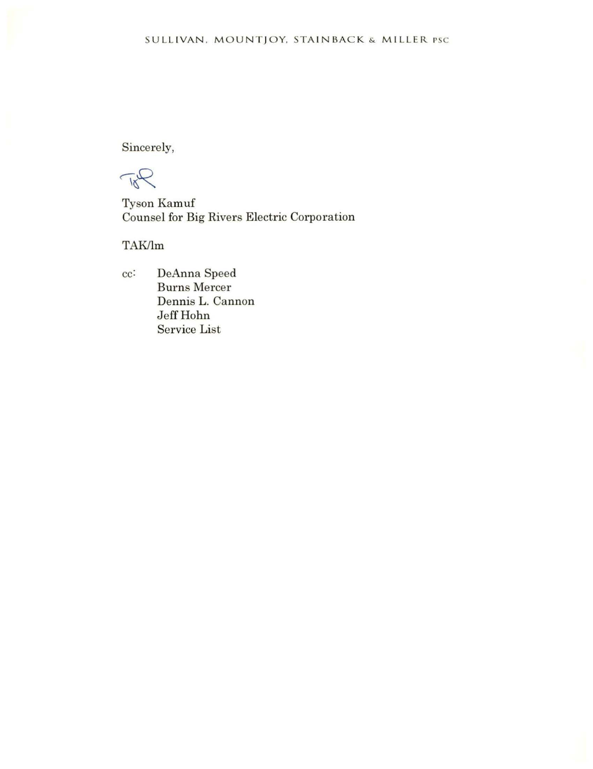Sincerely,

Top

Tyson Kamuf Counsel for Big Rivers Electric Corporation

TAK/lm

cc: DeAnna Speed Burns Mercer Dennis L. Cannon Jeff Hohn Service List